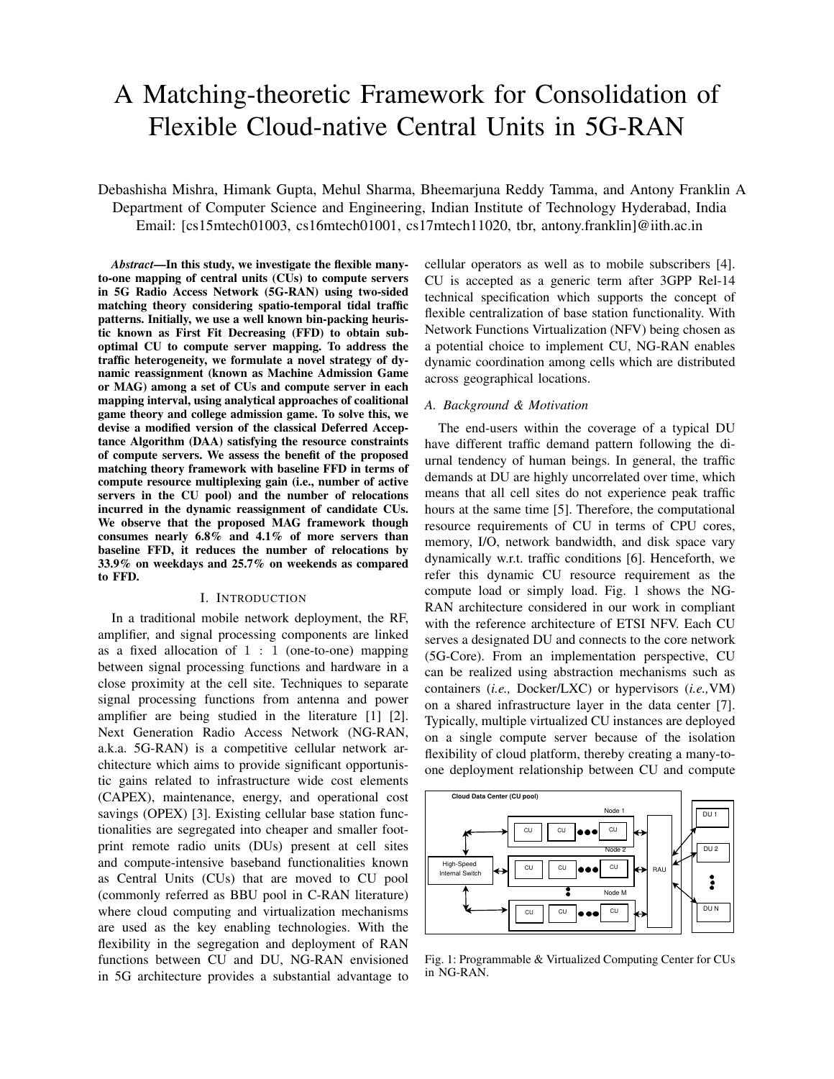# A Matching-theoretic Framework for Consolidation of Flexible Cloud-native Central Units in 5G-RAN

Debashisha Mishra, Himank Gupta, Mehul Sharma, Bheemarjuna Reddy Tamma, and Antony Franklin A Department of Computer Science and Engineering, Indian Institute of Technology Hyderabad, India Email: [cs15mtech01003, cs16mtech01001, cs17mtech11020, tbr, antony.franklin]@iith.ac.in

*Abstract*—In this study, we investigate the flexible manyto-one mapping of central units (CUs) to compute servers in 5G Radio Access Network (5G-RAN) using two-sided matching theory considering spatio-temporal tidal traffic patterns. Initially, we use a well known bin-packing heuristic known as First Fit Decreasing (FFD) to obtain suboptimal CU to compute server mapping. To address the traffic heterogeneity, we formulate a novel strategy of dynamic reassignment (known as Machine Admission Game or MAG) among a set of CUs and compute server in each mapping interval, using analytical approaches of coalitional game theory and college admission game. To solve this, we devise a modified version of the classical Deferred Acceptance Algorithm (DAA) satisfying the resource constraints of compute servers. We assess the benefit of the proposed matching theory framework with baseline FFD in terms of compute resource multiplexing gain (i.e., number of active servers in the CU pool) and the number of relocations incurred in the dynamic reassignment of candidate CUs. We observe that the proposed MAG framework though consumes nearly 6.8% and 4.1% of more servers than baseline FFD, it reduces the number of relocations by 33.9% on weekdays and 25.7% on weekends as compared to FFD.

## I. INTRODUCTION

In a traditional mobile network deployment, the RF, amplifier, and signal processing components are linked as a fixed allocation of  $1 : 1$  (one-to-one) mapping between signal processing functions and hardware in a close proximity at the cell site. Techniques to separate signal processing functions from antenna and power amplifier are being studied in the literature [1] [2]. Next Generation Radio Access Network (NG-RAN, a.k.a. 5G-RAN) is a competitive cellular network architecture which aims to provide significant opportunistic gains related to infrastructure wide cost elements (CAPEX), maintenance, energy, and operational cost savings (OPEX) [3]. Existing cellular base station functionalities are segregated into cheaper and smaller footprint remote radio units (DUs) present at cell sites and compute-intensive baseband functionalities known as Central Units (CUs) that are moved to CU pool (commonly referred as BBU pool in C-RAN literature) where cloud computing and virtualization mechanisms are used as the key enabling technologies. With the flexibility in the segregation and deployment of RAN functions between CU and DU, NG-RAN envisioned in 5G architecture provides a substantial advantage to cellular operators as well as to mobile subscribers [4]. CU is accepted as a generic term after 3GPP Rel-14 technical specification which supports the concept of flexible centralization of base station functionality. With Network Functions Virtualization (NFV) being chosen as a potential choice to implement CU, NG-RAN enables dynamic coordination among cells which are distributed across geographical locations.

#### *A. Background & Motivation*

The end-users within the coverage of a typical DU have different traffic demand pattern following the diurnal tendency of human beings. In general, the traffic demands at DU are highly uncorrelated over time, which means that all cell sites do not experience peak traffic hours at the same time [5]. Therefore, the computational resource requirements of CU in terms of CPU cores, memory, I/O, network bandwidth, and disk space vary dynamically w.r.t. traffic conditions [6]. Henceforth, we refer this dynamic CU resource requirement as the compute load or simply load. Fig. 1 shows the NG-RAN architecture considered in our work in compliant with the reference architecture of ETSI NFV. Each CU serves a designated DU and connects to the core network (5G-Core). From an implementation perspective, CU can be realized using abstraction mechanisms such as containers (*i.e.,* Docker/LXC) or hypervisors (*i.e.,*VM) on a shared infrastructure layer in the data center [7]. Typically, multiple virtualized CU instances are deployed on a single compute server because of the isolation flexibility of cloud platform, thereby creating a many-toone deployment relationship between CU and compute



Fig. 1: Programmable & Virtualized Computing Center for CUs in NG-RAN.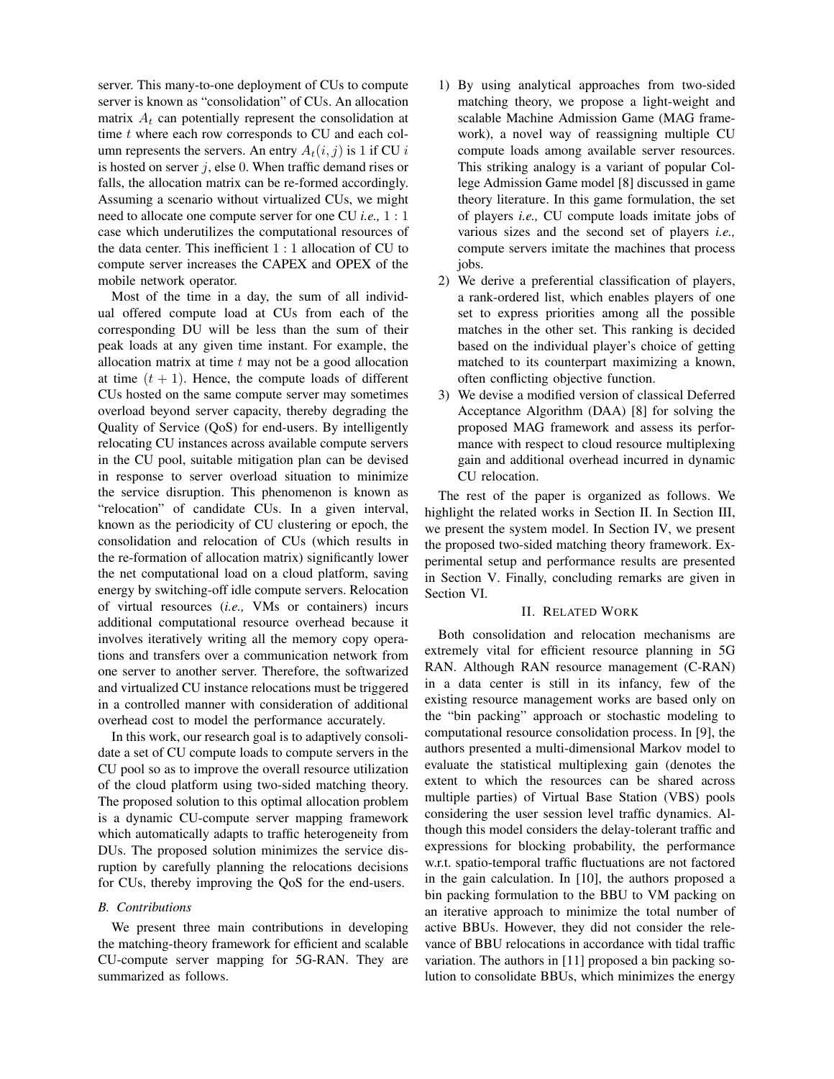server. This many-to-one deployment of CUs to compute server is known as "consolidation" of CUs. An allocation matrix  $A_t$  can potentially represent the consolidation at time  $t$  where each row corresponds to CU and each column represents the servers. An entry  $A_t(i, j)$  is 1 if CU i is hosted on server  $j$ , else 0. When traffic demand rises or falls, the allocation matrix can be re-formed accordingly. Assuming a scenario without virtualized CUs, we might need to allocate one compute server for one CU *i.e.,* 1 : 1 case which underutilizes the computational resources of the data center. This inefficient 1 : 1 allocation of CU to compute server increases the CAPEX and OPEX of the mobile network operator.

Most of the time in a day, the sum of all individual offered compute load at CUs from each of the corresponding DU will be less than the sum of their peak loads at any given time instant. For example, the allocation matrix at time  $t$  may not be a good allocation at time  $(t + 1)$ . Hence, the compute loads of different CUs hosted on the same compute server may sometimes overload beyond server capacity, thereby degrading the Quality of Service (QoS) for end-users. By intelligently relocating CU instances across available compute servers in the CU pool, suitable mitigation plan can be devised in response to server overload situation to minimize the service disruption. This phenomenon is known as "relocation" of candidate CUs. In a given interval, known as the periodicity of CU clustering or epoch, the consolidation and relocation of CUs (which results in the re-formation of allocation matrix) significantly lower the net computational load on a cloud platform, saving energy by switching-off idle compute servers. Relocation of virtual resources (*i.e.,* VMs or containers) incurs additional computational resource overhead because it involves iteratively writing all the memory copy operations and transfers over a communication network from one server to another server. Therefore, the softwarized and virtualized CU instance relocations must be triggered in a controlled manner with consideration of additional overhead cost to model the performance accurately.

In this work, our research goal is to adaptively consolidate a set of CU compute loads to compute servers in the CU pool so as to improve the overall resource utilization of the cloud platform using two-sided matching theory. The proposed solution to this optimal allocation problem is a dynamic CU-compute server mapping framework which automatically adapts to traffic heterogeneity from DUs. The proposed solution minimizes the service disruption by carefully planning the relocations decisions for CUs, thereby improving the QoS for the end-users.

## *B. Contributions*

We present three main contributions in developing the matching-theory framework for efficient and scalable CU-compute server mapping for 5G-RAN. They are summarized as follows.

- 1) By using analytical approaches from two-sided matching theory, we propose a light-weight and scalable Machine Admission Game (MAG framework), a novel way of reassigning multiple CU compute loads among available server resources. This striking analogy is a variant of popular College Admission Game model [8] discussed in game theory literature. In this game formulation, the set of players *i.e.,* CU compute loads imitate jobs of various sizes and the second set of players *i.e.,* compute servers imitate the machines that process jobs.
- 2) We derive a preferential classification of players, a rank-ordered list, which enables players of one set to express priorities among all the possible matches in the other set. This ranking is decided based on the individual player's choice of getting matched to its counterpart maximizing a known, often conflicting objective function.
- 3) We devise a modified version of classical Deferred Acceptance Algorithm (DAA) [8] for solving the proposed MAG framework and assess its performance with respect to cloud resource multiplexing gain and additional overhead incurred in dynamic CU relocation.

The rest of the paper is organized as follows. We highlight the related works in Section II. In Section III, we present the system model. In Section IV, we present the proposed two-sided matching theory framework. Experimental setup and performance results are presented in Section V. Finally, concluding remarks are given in Section VI.

#### II. RELATED WORK

Both consolidation and relocation mechanisms are extremely vital for efficient resource planning in 5G RAN. Although RAN resource management (C-RAN) in a data center is still in its infancy, few of the existing resource management works are based only on the "bin packing" approach or stochastic modeling to computational resource consolidation process. In [9], the authors presented a multi-dimensional Markov model to evaluate the statistical multiplexing gain (denotes the extent to which the resources can be shared across multiple parties) of Virtual Base Station (VBS) pools considering the user session level traffic dynamics. Although this model considers the delay-tolerant traffic and expressions for blocking probability, the performance w.r.t. spatio-temporal traffic fluctuations are not factored in the gain calculation. In [10], the authors proposed a bin packing formulation to the BBU to VM packing on an iterative approach to minimize the total number of active BBUs. However, they did not consider the relevance of BBU relocations in accordance with tidal traffic variation. The authors in [11] proposed a bin packing solution to consolidate BBUs, which minimizes the energy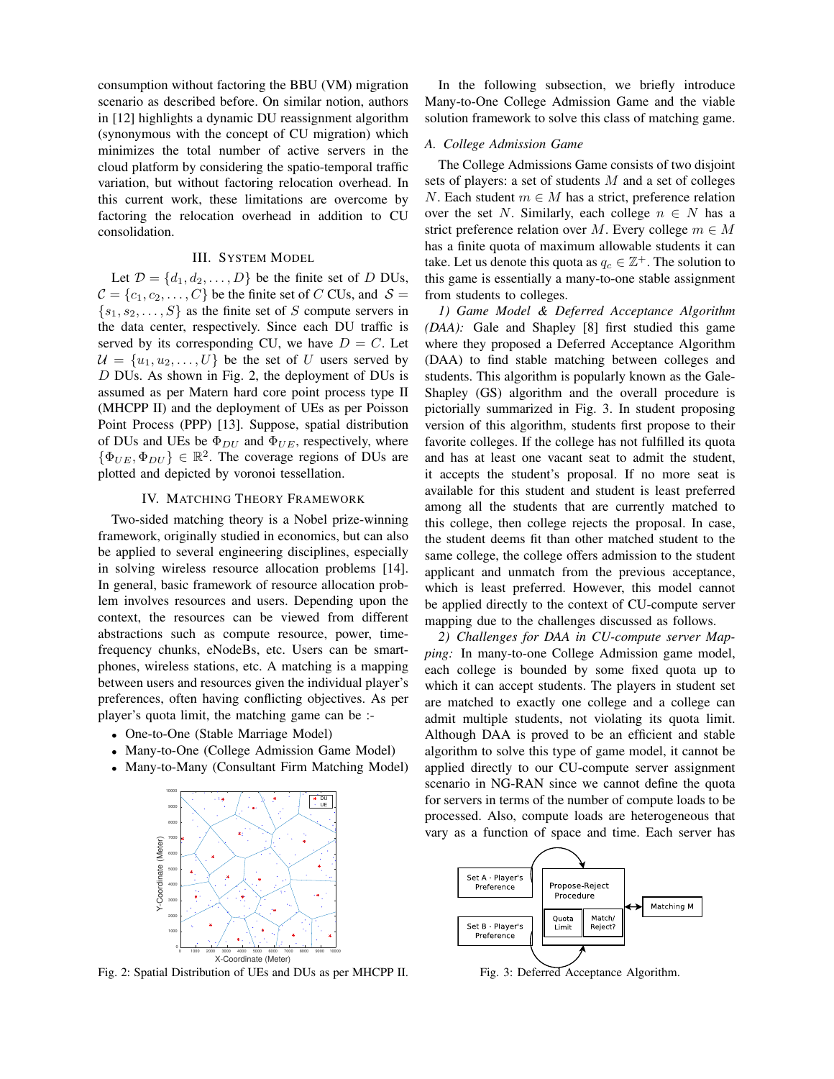consumption without factoring the BBU (VM) migration scenario as described before. On similar notion, authors in [12] highlights a dynamic DU reassignment algorithm (synonymous with the concept of CU migration) which minimizes the total number of active servers in the cloud platform by considering the spatio-temporal traffic variation, but without factoring relocation overhead. In this current work, these limitations are overcome by factoring the relocation overhead in addition to CU consolidation.

## III. SYSTEM MODEL

Let  $\mathcal{D} = \{d_1, d_2, \dots, D\}$  be the finite set of D DUs,  $C = \{c_1, c_2, \ldots, C\}$  be the finite set of C CUs, and  $S =$  $\{s_1, s_2, \ldots, S\}$  as the finite set of S compute servers in the data center, respectively. Since each DU traffic is served by its corresponding CU, we have  $D = C$ . Let  $\mathcal{U} = \{u_1, u_2, \dots, U\}$  be the set of U users served by D DUs. As shown in Fig. 2, the deployment of DUs is assumed as per Matern hard core point process type II (MHCPP II) and the deployment of UEs as per Poisson Point Process (PPP) [13]. Suppose, spatial distribution of DUs and UEs be  $\Phi_{DU}$  and  $\Phi_{UE}$ , respectively, where  $\{\Phi_{UE}, \Phi_{DU}\} \in \mathbb{R}^2$ . The coverage regions of DUs are plotted and depicted by voronoi tessellation.

#### IV. MATCHING THEORY FRAMEWORK

Two-sided matching theory is a Nobel prize-winning framework, originally studied in economics, but can also be applied to several engineering disciplines, especially in solving wireless resource allocation problems [14]. In general, basic framework of resource allocation problem involves resources and users. Depending upon the context, the resources can be viewed from different abstractions such as compute resource, power, timefrequency chunks, eNodeBs, etc. Users can be smartphones, wireless stations, etc. A matching is a mapping between users and resources given the individual player's preferences, often having conflicting objectives. As per player's quota limit, the matching game can be :-

- One-to-One (Stable Marriage Model)
- Many-to-One (College Admission Game Model)
- Many-to-Many (Consultant Firm Matching Model)



Fig. 2: Spatial Distribution of UEs and DUs as per MHCPP II.

In the following subsection, we briefly introduce Many-to-One College Admission Game and the viable solution framework to solve this class of matching game.

## *A. College Admission Game*

The College Admissions Game consists of two disjoint sets of players: a set of students M and a set of colleges N. Each student  $m \in M$  has a strict, preference relation over the set N. Similarly, each college  $n \in N$  has a strict preference relation over M. Every college  $m \in M$ has a finite quota of maximum allowable students it can take. Let us denote this quota as  $q_c \in \mathbb{Z}^+$ . The solution to this game is essentially a many-to-one stable assignment from students to colleges.

*1) Game Model & Deferred Acceptance Algorithm (DAA):* Gale and Shapley [8] first studied this game where they proposed a Deferred Acceptance Algorithm (DAA) to find stable matching between colleges and students. This algorithm is popularly known as the Gale-Shapley (GS) algorithm and the overall procedure is pictorially summarized in Fig. 3. In student proposing version of this algorithm, students first propose to their favorite colleges. If the college has not fulfilled its quota and has at least one vacant seat to admit the student, it accepts the student's proposal. If no more seat is available for this student and student is least preferred among all the students that are currently matched to this college, then college rejects the proposal. In case, the student deems fit than other matched student to the same college, the college offers admission to the student applicant and unmatch from the previous acceptance, which is least preferred. However, this model cannot be applied directly to the context of CU-compute server mapping due to the challenges discussed as follows.

*2) Challenges for DAA in CU-compute server Mapping:* In many-to-one College Admission game model, each college is bounded by some fixed quota up to which it can accept students. The players in student set are matched to exactly one college and a college can admit multiple students, not violating its quota limit. Although DAA is proved to be an efficient and stable algorithm to solve this type of game model, it cannot be applied directly to our CU-compute server assignment scenario in NG-RAN since we cannot define the quota for servers in terms of the number of compute loads to be processed. Also, compute loads are heterogeneous that vary as a function of space and time. Each server has



Fig. 3: Deferred Acceptance Algorithm.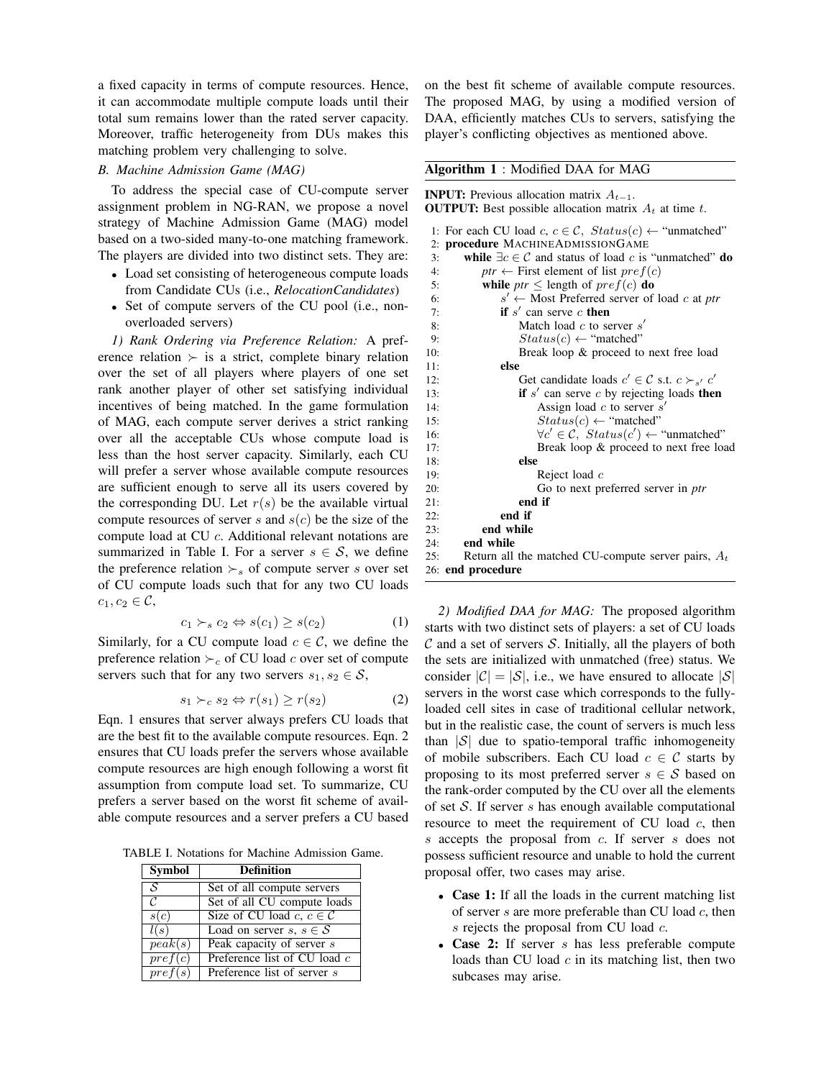a fixed capacity in terms of compute resources. Hence, it can accommodate multiple compute loads until their total sum remains lower than the rated server capacity. Moreover, traffic heterogeneity from DUs makes this matching problem very challenging to solve.

## *B. Machine Admission Game (MAG)*

To address the special case of CU-compute server assignment problem in NG-RAN, we propose a novel strategy of Machine Admission Game (MAG) model based on a two-sided many-to-one matching framework. The players are divided into two distinct sets. They are:

- Load set consisting of heterogeneous compute loads from Candidate CUs (i.e., *RelocationCandidates*)
- Set of compute servers of the CU pool (i.e., nonoverloaded servers)

*1) Rank Ordering via Preference Relation:* A preference relation  $\succ$  is a strict, complete binary relation over the set of all players where players of one set rank another player of other set satisfying individual incentives of being matched. In the game formulation of MAG, each compute server derives a strict ranking over all the acceptable CUs whose compute load is less than the host server capacity. Similarly, each CU will prefer a server whose available compute resources are sufficient enough to serve all its users covered by the corresponding DU. Let  $r(s)$  be the available virtual compute resources of server s and  $s(c)$  be the size of the compute load at CU c. Additional relevant notations are summarized in Table I. For a server  $s \in \mathcal{S}$ , we define the preference relation  $\succ_s$  of compute server s over set of CU compute loads such that for any two CU loads  $c_1, c_2 \in \mathcal{C}$ ,

$$
c_1 \succ_s c_2 \Leftrightarrow s(c_1) \ge s(c_2)
$$
 (1)

Similarly, for a CU compute load  $c \in \mathcal{C}$ , we define the preference relation  $\succ_c$  of CU load c over set of compute servers such that for any two servers  $s_1, s_2 \in \mathcal{S}$ ,

$$
s_1 \succ_c s_2 \Leftrightarrow r(s_1) \ge r(s_2) \tag{2}
$$

Eqn. 1 ensures that server always prefers CU loads that are the best fit to the available compute resources. Eqn. 2 ensures that CU loads prefer the servers whose available compute resources are high enough following a worst fit assumption from compute load set. To summarize, CU prefers a server based on the worst fit scheme of available compute resources and a server prefers a CU based

TABLE I. Notations for Machine Admission Game.

| <b>Symbol</b>            | Definition                             |
|--------------------------|----------------------------------------|
| $\overline{\mathcal{S}}$ | Set of all compute servers             |
| $\mathcal{C}$            | Set of all CU compute loads            |
| s(c)                     | Size of CU load c, $c \in \mathcal{C}$ |
| l(s)                     | Load on server $s, s \in S$            |
| peak(s)                  | Peak capacity of server s              |
| pref(c)                  | Preference list of CU load $c$         |
| $pref(\overline{s)}$     | Preference list of server s            |

on the best fit scheme of available compute resources. The proposed MAG, by using a modified version of DAA, efficiently matches CUs to servers, satisfying the player's conflicting objectives as mentioned above.

#### Algorithm 1 : Modified DAA for MAG

**INPUT:** Previous allocation matrix  $A_{t-1}$ . **OUTPUT:** Best possible allocation matrix  $A_t$  at time t.

|     | 1: For each CU load c, $c \in \mathcal{C}$ , $Status(c) \leftarrow$ "unmatched" |
|-----|---------------------------------------------------------------------------------|
|     | 2: procedure MACHINEADMISSIONGAME                                               |
| 3:  | while $\exists c \in C$ and status of load c is "unmatched" do                  |
| 4:  | ptr $\leftarrow$ First element of list pref(c)                                  |
| 5:  | while <i>ptr</i> $\leq$ length of <i>pref</i> ( <i>c</i> ) <b>do</b>            |
| 6:  | $s' \leftarrow$ Most Preferred server of load c at ptr                          |
| 7:  | if $s'$ can serve c then                                                        |
| 8:  | Match load $c$ to server $s'$                                                   |
| 9:  | $Status(c) \leftarrow "matched"$                                                |
| 10: | Break loop & proceed to next free load                                          |
| 11: | else                                                                            |
| 12: | Get candidate loads $c' \in C$ s.t. $c \succ_{s'} c'$                           |
| 13: | if $s'$ can serve c by rejecting loads then                                     |
| 14: | Assign load $c$ to server $s'$                                                  |
| 15: | $Status(c) \leftarrow "matched"$                                                |
| 16: | $\forall c' \in C$ , $Status(c') \leftarrow$ "unmatched"                        |
| 17: | Break loop & proceed to next free load                                          |
| 18: | else                                                                            |
| 19: | Reject load $c$                                                                 |
| 20: | Go to next preferred server in <i>ptr</i>                                       |
| 21: | end if                                                                          |
| 22: | end if                                                                          |
| 23: | end while                                                                       |
| 24: | end while                                                                       |
| 25: | Return all the matched CU-compute server pairs, $A_t$                           |
|     | 26: end procedure                                                               |

*2) Modified DAA for MAG:* The proposed algorithm starts with two distinct sets of players: a set of CU loads  $\mathcal C$  and a set of servers  $\mathcal S$ . Initially, all the players of both the sets are initialized with unmatched (free) status. We consider  $|\mathcal{C}| = |\mathcal{S}|$ , i.e., we have ensured to allocate  $|\mathcal{S}|$ servers in the worst case which corresponds to the fullyloaded cell sites in case of traditional cellular network, but in the realistic case, the count of servers is much less than  $|S|$  due to spatio-temporal traffic inhomogeneity of mobile subscribers. Each CU load  $c \in \mathcal{C}$  starts by proposing to its most preferred server  $s \in \mathcal{S}$  based on the rank-order computed by the CU over all the elements of set  $S$ . If server  $s$  has enough available computational resource to meet the requirement of CU load  $c$ , then s accepts the proposal from c. If server s does not possess sufficient resource and unable to hold the current proposal offer, two cases may arise.

- Case 1: If all the loads in the current matching list of server  $s$  are more preferable than CU load  $c$ , then s rejects the proposal from CU load  $c$ .
- Case 2: If server s has less preferable compute loads than CU load  $c$  in its matching list, then two subcases may arise.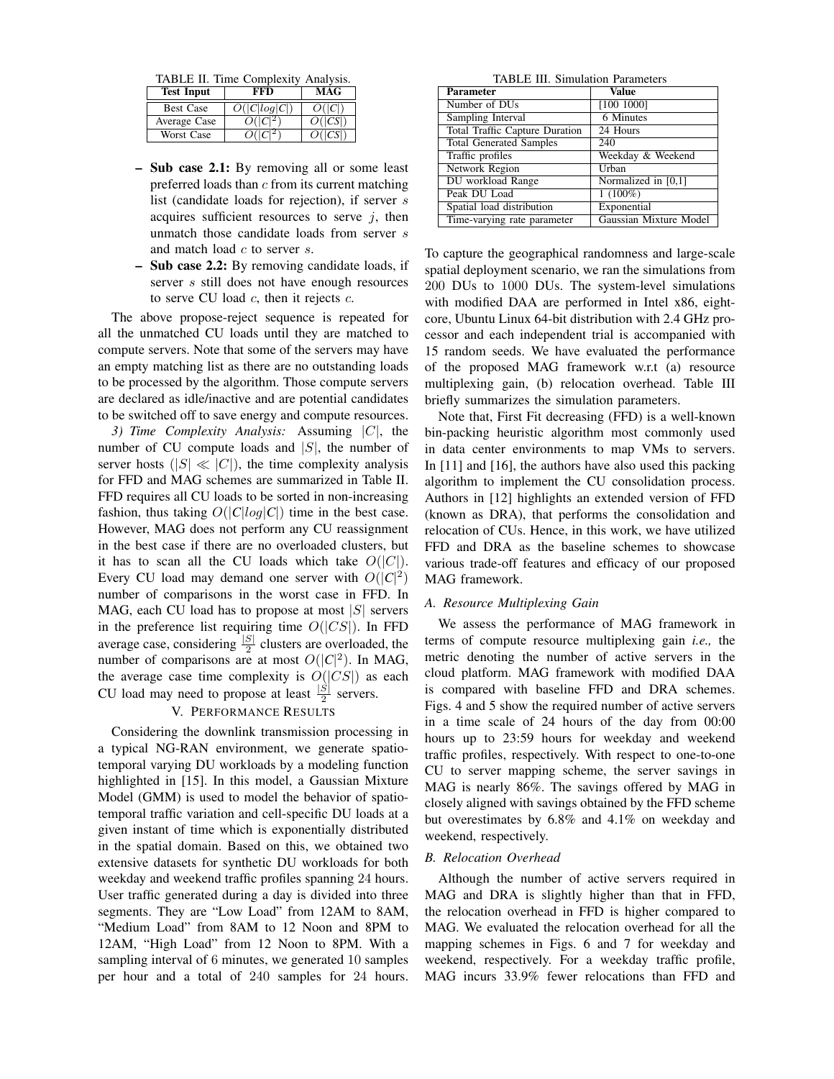TABLE II. Time Complexity Analysis.

| <b>Test Input</b> | FFD.         | MAG     |
|-------------------|--------------|---------|
| <b>Best Case</b>  | O( C log C ) | O( C )  |
| Average Case      | $O( C ^2)$   | O( CS ) |
| Worst Case        |              | O( CS ) |

- Sub case 2.1: By removing all or some least preferred loads than  $c$  from its current matching list (candidate loads for rejection), if server s acquires sufficient resources to serve  $j$ , then unmatch those candidate loads from server s and match load  $c$  to server  $s$ .
- Sub case 2.2: By removing candidate loads, if server s still does not have enough resources to serve CU load  $c$ , then it rejects  $c$ .

The above propose-reject sequence is repeated for all the unmatched CU loads until they are matched to compute servers. Note that some of the servers may have an empty matching list as there are no outstanding loads to be processed by the algorithm. Those compute servers are declared as idle/inactive and are potential candidates to be switched off to save energy and compute resources.

*3) Time Complexity Analysis:* Assuming |C|, the number of CU compute loads and  $|S|$ , the number of server hosts ( $|S| \ll |C|$ ), the time complexity analysis for FFD and MAG schemes are summarized in Table II. FFD requires all CU loads to be sorted in non-increasing fashion, thus taking  $O(|C|log|C|)$  time in the best case. However, MAG does not perform any CU reassignment in the best case if there are no overloaded clusters, but it has to scan all the CU loads which take  $O(|C|)$ . Every CU load may demand one server with  $O(|C|^2)$ number of comparisons in the worst case in FFD. In MAG, each CU load has to propose at most  $|S|$  servers in the preference list requiring time  $O(|CS|)$ . In FFD average case, considering  $\frac{|S|}{2}$  clusters are overloaded, the number of comparisons are at most  $O(|C|^2)$ . In MAG, the average case time complexity is  $O(|CS|)$  as each CU load may need to propose at least  $\frac{|\hat{S}|}{2}$  servers.

## V. PERFORMANCE RESULTS

Considering the downlink transmission processing in a typical NG-RAN environment, we generate spatiotemporal varying DU workloads by a modeling function highlighted in [15]. In this model, a Gaussian Mixture Model (GMM) is used to model the behavior of spatiotemporal traffic variation and cell-specific DU loads at a given instant of time which is exponentially distributed in the spatial domain. Based on this, we obtained two extensive datasets for synthetic DU workloads for both weekday and weekend traffic profiles spanning 24 hours. User traffic generated during a day is divided into three segments. They are "Low Load" from 12AM to 8AM, "Medium Load" from 8AM to 12 Noon and 8PM to 12AM, "High Load" from 12 Noon to 8PM. With a sampling interval of 6 minutes, we generated 10 samples per hour and a total of 240 samples for 24 hours.

TABLE III. Simulation Parameters

| <b>Parameter</b>                      | <b>Value</b>           |
|---------------------------------------|------------------------|
| Number of DU <sub>s</sub>             | [100 1000]             |
| Sampling Interval                     | 6 Minutes              |
| <b>Total Traffic Capture Duration</b> | 24 Hours               |
| <b>Total Generated Samples</b>        | 240                    |
| Traffic profiles                      | Weekday & Weekend      |
| Network Region                        | Urban                  |
| DU workload Range                     | Normalized in [0,1]    |
| Peak DU Load                          | $1(100\%)$             |
| Spatial load distribution             | Exponential            |
| Time-varying rate parameter           | Gaussian Mixture Model |

To capture the geographical randomness and large-scale spatial deployment scenario, we ran the simulations from 200 DUs to 1000 DUs. The system-level simulations with modified DAA are performed in Intel x86, eightcore, Ubuntu Linux 64-bit distribution with 2.4 GHz processor and each independent trial is accompanied with 15 random seeds. We have evaluated the performance of the proposed MAG framework w.r.t (a) resource multiplexing gain, (b) relocation overhead. Table III briefly summarizes the simulation parameters.

Note that, First Fit decreasing (FFD) is a well-known bin-packing heuristic algorithm most commonly used in data center environments to map VMs to servers. In [11] and [16], the authors have also used this packing algorithm to implement the CU consolidation process. Authors in [12] highlights an extended version of FFD (known as DRA), that performs the consolidation and relocation of CUs. Hence, in this work, we have utilized FFD and DRA as the baseline schemes to showcase various trade-off features and efficacy of our proposed MAG framework.

### *A. Resource Multiplexing Gain*

We assess the performance of MAG framework in terms of compute resource multiplexing gain *i.e.,* the metric denoting the number of active servers in the cloud platform. MAG framework with modified DAA is compared with baseline FFD and DRA schemes. Figs. 4 and 5 show the required number of active servers in a time scale of 24 hours of the day from 00:00 hours up to 23:59 hours for weekday and weekend traffic profiles, respectively. With respect to one-to-one CU to server mapping scheme, the server savings in MAG is nearly 86%. The savings offered by MAG in closely aligned with savings obtained by the FFD scheme but overestimates by 6.8% and 4.1% on weekday and weekend, respectively.

### *B. Relocation Overhead*

Although the number of active servers required in MAG and DRA is slightly higher than that in FFD, the relocation overhead in FFD is higher compared to MAG. We evaluated the relocation overhead for all the mapping schemes in Figs. 6 and 7 for weekday and weekend, respectively. For a weekday traffic profile, MAG incurs 33.9% fewer relocations than FFD and